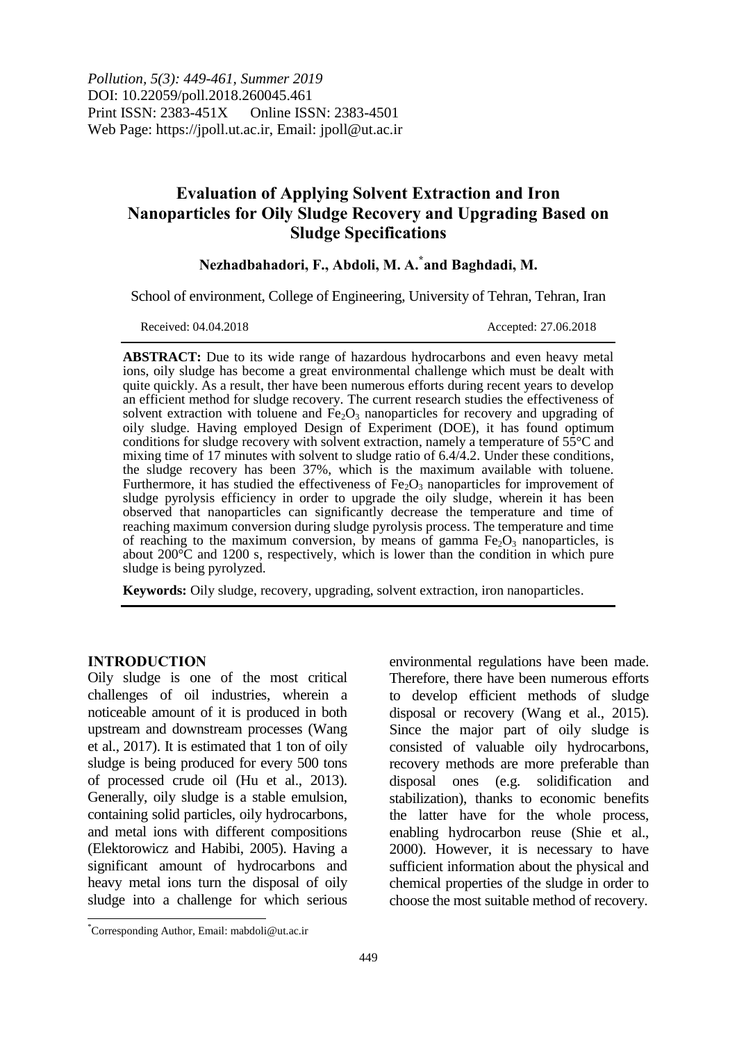*Pollution, 5(3): 449-461, Summer 2019* DOI: 10.22059/poll.2018.260045.461 Print ISSN: 2383-451X Online ISSN: 2383-4501 Web Page: https://jpoll.ut.ac.ir, Email: jpoll@ut.ac.ir

# **Evaluation of Applying Solvent Extraction and Iron Nanoparticles for Oily Sludge Recovery and Upgrading Based on Sludge Specifications**

# **Nezhadbahadori, F., Abdoli, M. A. \* and Baghdadi, M.**

School of environment, College of Engineering, University of Tehran, Tehran, Iran

Received: 04.04.2018 Accepted: 27.06.2018

**ABSTRACT:** Due to its wide range of hazardous hydrocarbons and even heavy metal ions, oily sludge has become a great environmental challenge which must be dealt with quite quickly. As a result, ther have been numerous efforts during recent years to develop an efficient method for sludge recovery. The current research studies the effectiveness of solvent extraction with toluene and  $Fe<sub>2</sub>O<sub>3</sub>$  nanoparticles for recovery and upgrading of oily sludge. Having employed Design of Experiment (DOE), it has found optimum conditions for sludge recovery with solvent extraction, namely a temperature of  $5\bar{5}^{\circ}$ C and mixing time of 17 minutes with solvent to sludge ratio of 6.4/4.2. Under these conditions, the sludge recovery has been 37%, which is the maximum available with toluene. Furthermore, it has studied the effectiveness of  $Fe<sub>2</sub>O<sub>3</sub>$  nanoparticles for improvement of sludge pyrolysis efficiency in order to upgrade the oily sludge, wherein it has been observed that nanoparticles can significantly decrease the temperature and time of reaching maximum conversion during sludge pyrolysis process. The temperature and time of reaching to the maximum conversion, by means of gamma  $Fe<sub>2</sub>O<sub>3</sub>$  nanoparticles, is about  $200^{\circ}$ C and 1200 s, respectively, which is lower than the condition in which pure sludge is being pyrolyzed.

**Keywords:** Oily sludge, recovery, upgrading, solvent extraction, iron nanoparticles.

### **INTRODUCTION**

 $\overline{\phantom{a}}$ 

Oily sludge is one of the most critical challenges of oil industries, wherein a noticeable amount of it is produced in both upstream and downstream processes (Wang et al., 2017). It is estimated that 1 ton of oily sludge is being produced for every 500 tons of processed crude oil (Hu et al., 2013). Generally, oily sludge is a stable emulsion, containing solid particles, oily hydrocarbons, and metal ions with different compositions (Elektorowicz and Habibi, 2005). Having a significant amount of hydrocarbons and heavy metal ions turn the disposal of oily sludge into a challenge for which serious

environmental regulations have been made. Therefore, there have been numerous efforts to develop efficient methods of sludge disposal or recovery (Wang et al., 2015). Since the major part of oily sludge is consisted of valuable oily hydrocarbons, recovery methods are more preferable than disposal ones (e.g. solidification and stabilization), thanks to economic benefits the latter have for the whole process, enabling hydrocarbon reuse (Shie et al., 2000). However, it is necessary to have sufficient information about the physical and chemical properties of the sludge in order to choose the most suitable method of recovery.

<sup>\*</sup>Corresponding Author, Email: mabdoli@ut.ac.ir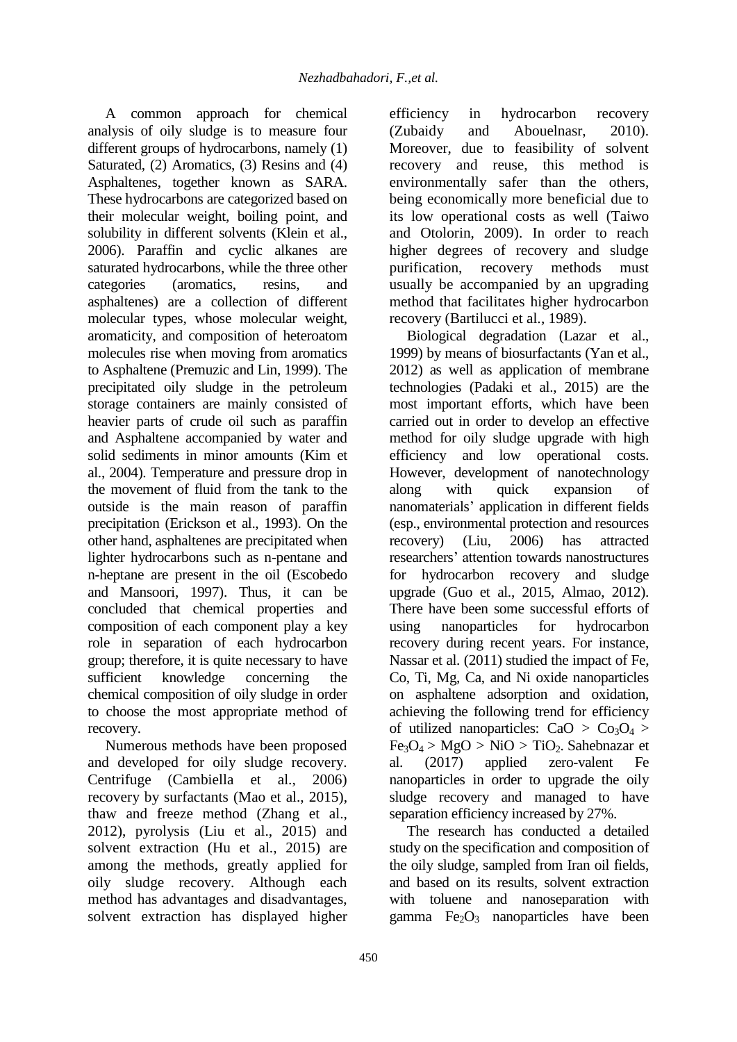A common approach for chemical analysis of oily sludge is to measure four different groups of hydrocarbons, namely (1) Saturated, (2) Aromatics, (3) Resins and (4) Asphaltenes, together known as SARA. These hydrocarbons are categorized based on their molecular weight, boiling point, and solubility in different solvents (Klein et al., 2006). Paraffin and cyclic alkanes are saturated hydrocarbons, while the three other categories (aromatics, resins, and asphaltenes) are a collection of different molecular types, whose molecular weight, aromaticity, and composition of heteroatom molecules rise when moving from aromatics to Asphaltene (Premuzic and Lin, 1999). The precipitated oily sludge in the petroleum storage containers are mainly consisted of heavier parts of crude oil such as paraffin and Asphaltene accompanied by water and solid sediments in minor amounts (Kim et al., 2004). Temperature and pressure drop in the movement of fluid from the tank to the outside is the main reason of paraffin precipitation (Erickson et al., 1993). On the other hand, asphaltenes are precipitated when lighter hydrocarbons such as n-pentane and n-heptane are present in the oil (Escobedo and Mansoori, 1997). Thus, it can be concluded that chemical properties and composition of each component play a key role in separation of each hydrocarbon group; therefore, it is quite necessary to have sufficient knowledge concerning the chemical composition of oily sludge in order to choose the most appropriate method of recovery.

Numerous methods have been proposed and developed for oily sludge recovery. Centrifuge (Cambiella et al., 2006) recovery by surfactants (Mao et al., 2015), thaw and freeze method (Zhang et al., 2012), pyrolysis (Liu et al., 2015) and solvent extraction (Hu et al., 2015) are among the methods, greatly applied for oily sludge recovery. Although each method has advantages and disadvantages, solvent extraction has displayed higher

efficiency in hydrocarbon recovery<br>(Zubaidy and Abouelnasr, 2010). and Abouelnasr, 2010). Moreover, due to feasibility of solvent recovery and reuse, this method is environmentally safer than the others, being economically more beneficial due to its low operational costs as well (Taiwo and Otolorin, 2009). In order to reach higher degrees of recovery and sludge purification, recovery methods must usually be accompanied by an upgrading method that facilitates higher hydrocarbon recovery (Bartilucci et al., 1989).

Biological degradation (Lazar et al., 1999) by means of biosurfactants (Yan et al., 2012) as well as application of membrane technologies (Padaki et al., 2015) are the most important efforts, which have been carried out in order to develop an effective method for oily sludge upgrade with high efficiency and low operational costs. However, development of nanotechnology along with quick expansion of nanomaterials' application in different fields (esp., environmental protection and resources recovery) (Liu, 2006) has attracted researchers' attention towards nanostructures for hydrocarbon recovery and sludge upgrade (Guo et al., 2015, Almao, 2012). There have been some successful efforts of using nanoparticles for hydrocarbon recovery during recent years. For instance, Nassar et al. (2011) studied the impact of Fe, Co, Ti, Mg, Ca, and Ni oxide nanoparticles on asphaltene adsorption and oxidation, achieving the following trend for efficiency of utilized nanoparticles:  $CaO > Co<sub>3</sub>O<sub>4</sub>$  $Fe<sub>3</sub>O<sub>4</sub> > MgO > NiO > TiO<sub>2</sub>$ . Sahebnazar et al. (2017) applied zero-valent Fe nanoparticles in order to upgrade the oily sludge recovery and managed to have separation efficiency increased by 27%.

The research has conducted a detailed study on the specification and composition of the oily sludge, sampled from Iran oil fields, and based on its results, solvent extraction with toluene and nanoseparation with gamma  $Fe<sub>2</sub>O<sub>3</sub>$  nanoparticles have been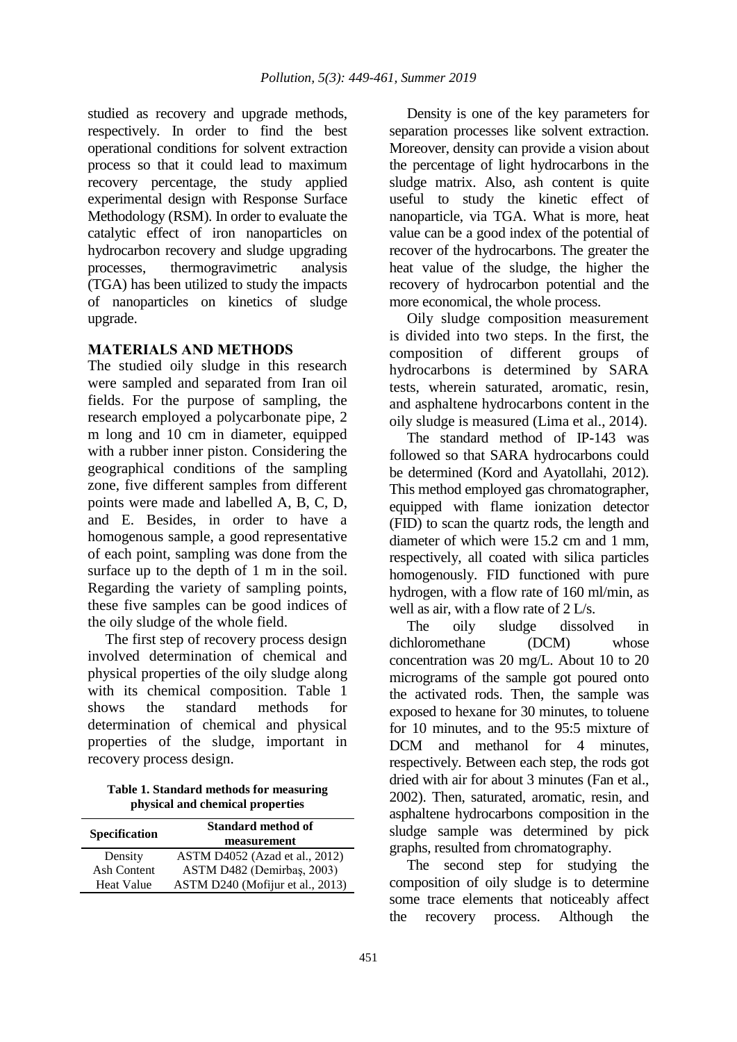studied as recovery and upgrade methods, respectively. In order to find the best operational conditions for solvent extraction process so that it could lead to maximum recovery percentage, the study applied experimental design with Response Surface Methodology (RSM). In order to evaluate the catalytic effect of iron nanoparticles on hydrocarbon recovery and sludge upgrading processes, thermogravimetric analysis (TGA) has been utilized to study the impacts of nanoparticles on kinetics of sludge upgrade.

# **MATERIALS AND METHODS**

The studied oily sludge in this research were sampled and separated from Iran oil fields. For the purpose of sampling, the research employed a polycarbonate pipe, 2 m long and 10 cm in diameter, equipped with a rubber inner piston. Considering the geographical conditions of the sampling zone, five different samples from different points were made and labelled A, B, C, D, and E. Besides, in order to have a homogenous sample, a good representative of each point, sampling was done from the surface up to the depth of 1 m in the soil. Regarding the variety of sampling points, these five samples can be good indices of the oily sludge of the whole field.

The first step of recovery process design involved determination of chemical and physical properties of the oily sludge along with its chemical composition. Table 1 shows the standard methods for determination of chemical and physical properties of the sludge, important in recovery process design.

**Table 1. Standard methods for measuring physical and chemical properties**

| Specification     | <b>Standard method of</b><br>measurement |
|-------------------|------------------------------------------|
| Density           | ASTM D4052 (Azad et al., 2012)           |
| Ash Content       | ASTM D482 (Demirbas, 2003)               |
| <b>Heat Value</b> | ASTM D240 (Mofijur et al., 2013)         |

Density is one of the key parameters for separation processes like solvent extraction. Moreover, density can provide a vision about the percentage of light hydrocarbons in the sludge matrix. Also, ash content is quite useful to study the kinetic effect of nanoparticle, via TGA. What is more, heat value can be a good index of the potential of recover of the hydrocarbons. The greater the heat value of the sludge, the higher the recovery of hydrocarbon potential and the more economical, the whole process.

Oily sludge composition measurement is divided into two steps. In the first, the composition of different groups of hydrocarbons is determined by SARA tests, wherein saturated, aromatic, resin, and asphaltene hydrocarbons content in the oily sludge is measured (Lima et al., 2014).

The standard method of IP-143 was followed so that SARA hydrocarbons could be determined (Kord and Ayatollahi, 2012). This method employed gas chromatographer, equipped with flame ionization detector (FID) to scan the quartz rods, the length and diameter of which were 15.2 cm and 1 mm, respectively, all coated with silica particles homogenously. FID functioned with pure hydrogen, with a flow rate of 160 ml/min, as well as air, with a flow rate of 2 L/s.

The oily sludge dissolved in dichloromethane (DCM) whose concentration was 20 mg/L. About 10 to 20 micrograms of the sample got poured onto the activated rods. Then, the sample was exposed to hexane for 30 minutes, to toluene for 10 minutes, and to the 95:5 mixture of DCM and methanol for 4 minutes, respectively. Between each step, the rods got dried with air for about 3 minutes (Fan et al., 2002). Then, saturated, aromatic, resin, and asphaltene hydrocarbons composition in the sludge sample was determined by pick graphs, resulted from chromatography.

The second step for studying the composition of oily sludge is to determine some trace elements that noticeably affect the recovery process. Although the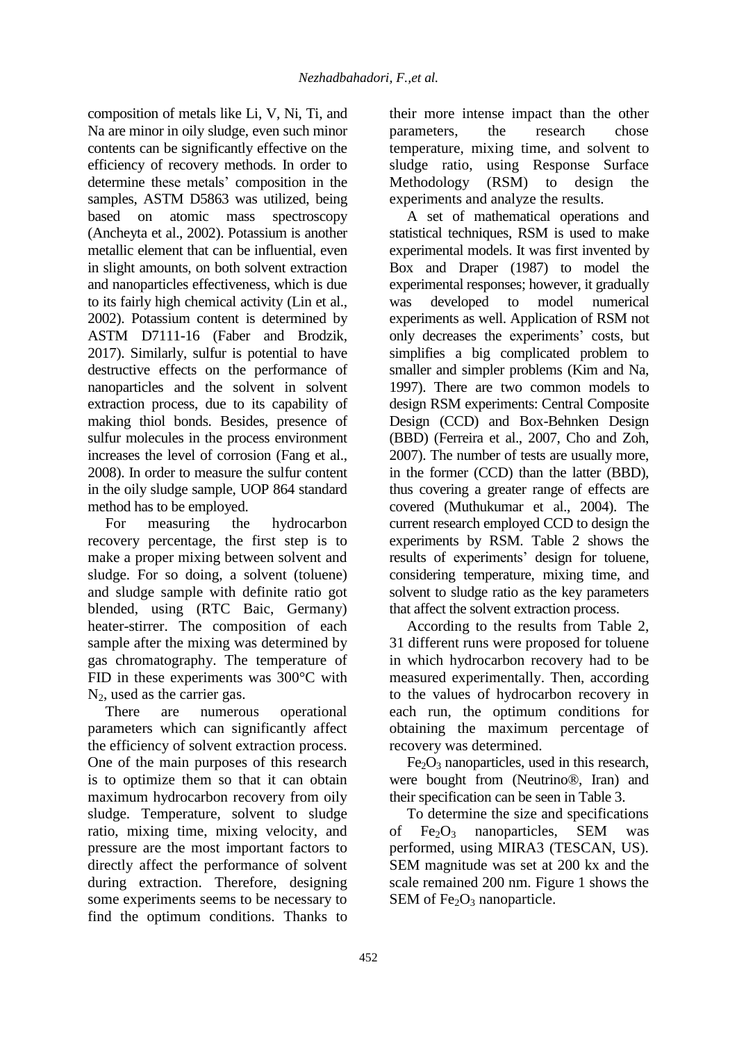composition of metals like Li, V, Ni, Ti, and Na are minor in oily sludge, even such minor contents can be significantly effective on the efficiency of recovery methods. In order to determine these metals' composition in the samples, ASTM D5863 was utilized, being based on atomic mass spectroscopy (Ancheyta et al., 2002). Potassium is another metallic element that can be influential, even in slight amounts, on both solvent extraction and nanoparticles effectiveness, which is due to its fairly high chemical activity (Lin et al., 2002). Potassium content is determined by ASTM D7111-16 (Faber and Brodzik, 2017). Similarly, sulfur is potential to have destructive effects on the performance of nanoparticles and the solvent in solvent extraction process, due to its capability of making thiol bonds. Besides, presence of sulfur molecules in the process environment increases the level of corrosion (Fang et al., 2008). In order to measure the sulfur content in the oily sludge sample, UOP 864 standard method has to be employed.

For measuring the hydrocarbon recovery percentage, the first step is to make a proper mixing between solvent and sludge. For so doing, a solvent (toluene) and sludge sample with definite ratio got blended, using (RTC Baic, Germany) heater-stirrer. The composition of each sample after the mixing was determined by gas chromatography. The temperature of FID in these experiments was 300°C with

 $N_2$ , used as the carrier gas.<br>There are numero are numerous operational parameters which can significantly affect the efficiency of solvent extraction process. One of the main purposes of this research is to optimize them so that it can obtain maximum hydrocarbon recovery from oily sludge. Temperature, solvent to sludge ratio, mixing time, mixing velocity, and pressure are the most important factors to directly affect the performance of solvent during extraction. Therefore, designing some experiments seems to be necessary to find the optimum conditions. Thanks to their more intense impact than the other parameters, the research chose temperature, mixing time, and solvent to sludge ratio, using Response Surface Methodology (RSM) to design the experiments and analyze the results.

A set of mathematical operations and statistical techniques, RSM is used to make experimental models. It was first invented by Box and Draper (1987) to model the experimental responses; however, it gradually was developed to model numerical experiments as well. Application of RSM not only decreases the experiments' costs, but simplifies a big complicated problem to smaller and simpler problems (Kim and Na, 1997). There are two common models to design RSM experiments: Central Composite Design (CCD) and Box-Behnken Design (BBD) (Ferreira et al., 2007, Cho and Zoh, 2007). The number of tests are usually more, in the former (CCD) than the latter (BBD), thus covering a greater range of effects are covered (Muthukumar et al., 2004). The current research employed CCD to design the experiments by RSM. Table 2 shows the results of experiments' design for toluene, considering temperature, mixing time, and solvent to sludge ratio as the key parameters that affect the solvent extraction process.

According to the results from Table 2, 31 different runs were proposed for toluene in which hydrocarbon recovery had to be measured experimentally. Then, according to the values of hydrocarbon recovery in each run, the optimum conditions for obtaining the maximum percentage of recovery was determined.

 $Fe<sub>2</sub>O<sub>3</sub>$  nanoparticles, used in this research, were bought from (Neutrino®, Iran) and their specification can be seen in Table 3.

To determine the size and specifications of  $Fe<sub>2</sub>O<sub>3</sub>$  nanoparticles, SEM was performed, using MIRA3 (TESCAN, US). SEM magnitude was set at 200 kx and the scale remained 200 nm. Figure 1 shows the SEM of  $Fe<sub>2</sub>O<sub>3</sub>$  nanoparticle.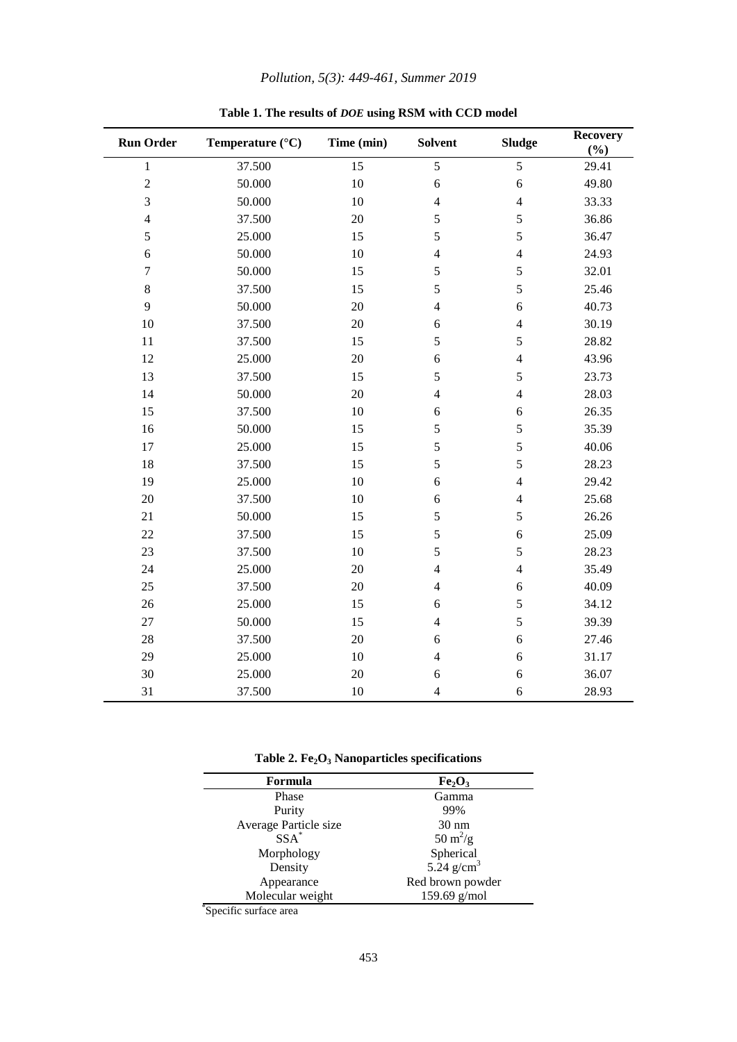| Pollution, 5(3): 449-461, Summer 2019 |  |  |  |  |
|---------------------------------------|--|--|--|--|
|---------------------------------------|--|--|--|--|

| <b>Run Order</b> | Temperature (°C) | Time (min) | <b>Solvent</b> | <b>Sludge</b>  | <b>Recovery</b><br>(%) |
|------------------|------------------|------------|----------------|----------------|------------------------|
| $\mathbf{1}$     | 37.500           | 15         | 5              | 5              | 29.41                  |
| $\sqrt{2}$       | 50.000           | $10\,$     | 6              | 6              | 49.80                  |
| 3                | 50.000           | 10         | $\overline{4}$ | $\overline{4}$ | 33.33                  |
| $\overline{4}$   | 37.500           | 20         | 5              | 5              | 36.86                  |
| 5                | 25.000           | 15         | 5              | 5              | 36.47                  |
| 6                | 50.000           | 10         | $\overline{4}$ | $\overline{4}$ | 24.93                  |
| $\tau$           | 50.000           | 15         | 5              | 5              | 32.01                  |
| $\,8\,$          | 37.500           | 15         | 5              | 5              | 25.46                  |
| 9                | 50.000           | 20         | $\overline{4}$ | 6              | 40.73                  |
| 10               | 37.500           | 20         | 6              | $\overline{4}$ | 30.19                  |
| 11               | 37.500           | 15         | 5              | 5              | 28.82                  |
| 12               | 25.000           | 20         | 6              | $\overline{4}$ | 43.96                  |
| 13               | 37.500           | 15         | 5              | 5              | 23.73                  |
| 14               | 50.000           | 20         | $\overline{4}$ | $\overline{4}$ | 28.03                  |
| 15               | 37.500           | 10         | 6              | 6              | 26.35                  |
| 16               | 50.000           | 15         | 5              | 5              | 35.39                  |
| 17               | 25.000           | 15         | 5              | 5              | 40.06                  |
| 18               | 37.500           | 15         | 5              | 5              | 28.23                  |
| 19               | 25.000           | 10         | 6              | $\overline{4}$ | 29.42                  |
| 20               | 37.500           | 10         | 6              | $\overline{4}$ | 25.68                  |
| 21               | 50.000           | 15         | 5              | 5              | 26.26                  |
| 22               | 37.500           | 15         | 5              | 6              | 25.09                  |
| 23               | 37.500           | 10         | 5              | 5              | 28.23                  |
| 24               | 25.000           | 20         | $\overline{4}$ | $\overline{4}$ | 35.49                  |
| 25               | 37.500           | 20         | $\overline{4}$ | 6              | 40.09                  |
| 26               | 25.000           | 15         | 6              | 5              | 34.12                  |
| 27               | 50.000           | 15         | $\overline{4}$ | 5              | 39.39                  |
| 28               | 37.500           | 20         | 6              | 6              | 27.46                  |
| 29               | 25.000           | 10         | $\overline{4}$ | 6              | 31.17                  |
| 30               | 25.000           | 20         | 6              | 6              | 36.07                  |
| 31               | 37.500           | 10         | $\overline{4}$ | 6              | 28.93                  |

**Table 1. The results of** *DOE* **using RSM with CCD model**

**Table 2. Fe2O<sup>3</sup> Nanoparticles specifications**

| Formula               | Fe <sub>2</sub> O <sub>3</sub> |
|-----------------------|--------------------------------|
| Phase                 | Gamma                          |
| Purity                | 99%                            |
| Average Particle size | $30 \text{ nm}$                |
| $SSA^*$               | $50 \text{ m}^2/\text{g}$      |
| Morphology            | Spherical                      |
| Density               | 5.24 $g/cm3$                   |
| Appearance            | Red brown powder               |
| Molecular weight      | 159.69 $g/mol$                 |

\* Specific surface area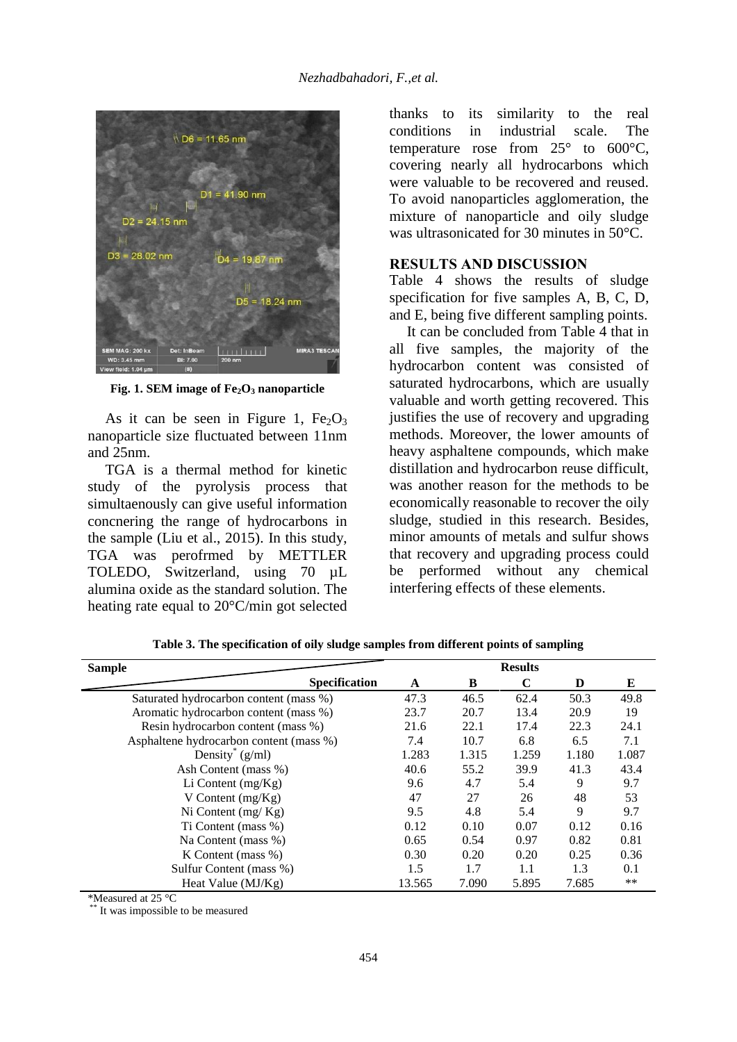

**Fig. 1. SEM image of Fe2O<sup>3</sup> nanoparticle**

As it can be seen in Figure 1,  $Fe<sub>2</sub>O<sub>3</sub>$ nanoparticle size fluctuated between 11nm and 25nm.

TGA is a thermal method for kinetic study of the pyrolysis process that simultaenously can give useful information concnering the range of hydrocarbons in the sample (Liu et al., 2015). In this study, TGA was perofrmed by METTLER TOLEDO, Switzerland, using 70  $\mu$ L alumina oxide as the standard solution. The heating rate equal to 20°C/min got selected

thanks to its similarity to the real conditions in industrial scale. The temperature rose from  $25^{\circ}$  to  $600^{\circ}$ C, covering nearly all hydrocarbons which were valuable to be recovered and reused. To avoid nanoparticles agglomeration, the mixture of nanoparticle and oily sludge was ultrasonicated for 30 minutes in 50°C.

# **RESULTS AND DISCUSSION**

Table 4 shows the results of sludge specification for five samples A, B, C, D, and E, being five different sampling points.

It can be concluded from Table 4 that in all five samples, the majority of the hydrocarbon content was consisted of saturated hydrocarbons, which are usually valuable and worth getting recovered. This justifies the use of recovery and upgrading methods. Moreover, the lower amounts of heavy asphaltene compounds, which make distillation and hydrocarbon reuse difficult, was another reason for the methods to be economically reasonable to recover the oily sludge, studied in this research. Besides, minor amounts of metals and sulfur shows that recovery and upgrading process could be performed without any chemical interfering effects of these elements.

| <b>Sample</b>                           |                      |        |       | <b>Results</b> |       |       |
|-----------------------------------------|----------------------|--------|-------|----------------|-------|-------|
|                                         | <b>Specification</b> | A      | B     | C              | D     | Е     |
| Saturated hydrocarbon content (mass %)  |                      | 47.3   | 46.5  | 62.4           | 50.3  | 49.8  |
| Aromatic hydrocarbon content (mass %)   |                      | 23.7   | 20.7  | 13.4           | 20.9  | 19    |
| Resin hydrocarbon content (mass %)      |                      | 21.6   | 22.1  | 17.4           | 22.3  | 24.1  |
| Asphaltene hydrocarbon content (mass %) |                      | 7.4    | 10.7  | 6.8            | 6.5   | 7.1   |
| Density $(g/ml)$                        |                      | 1.283  | 1.315 | 1.259          | 1.180 | 1.087 |
| Ash Content (mass %)                    |                      | 40.6   | 55.2  | 39.9           | 41.3  | 43.4  |
| Li Content $(mg/Kg)$                    |                      | 9.6    | 4.7   | 5.4            | 9     | 9.7   |
| V Content $(mg/Kg)$                     |                      | 47     | 27    | 26             | 48    | 53    |
| Ni Content $(mg/Kg)$                    |                      | 9.5    | 4.8   | 5.4            | 9     | 9.7   |
| Ti Content (mass %)                     |                      | 0.12   | 0.10  | 0.07           | 0.12  | 0.16  |
| Na Content (mass %)                     |                      | 0.65   | 0.54  | 0.97           | 0.82  | 0.81  |
| K Content (mass $\%$ )                  |                      | 0.30   | 0.20  | 0.20           | 0.25  | 0.36  |
| Sulfur Content (mass %)                 |                      | 1.5    | 1.7   | 1.1            | 1.3   | 0.1   |
| Heat Value $(MJ/Kg)$                    |                      | 13.565 | 7.090 | 5.895          | 7.685 | $***$ |

**Table 3. The specification of oily sludge samples from different points of sampling**

\*Measured at 25 °C

It was impossible to be measured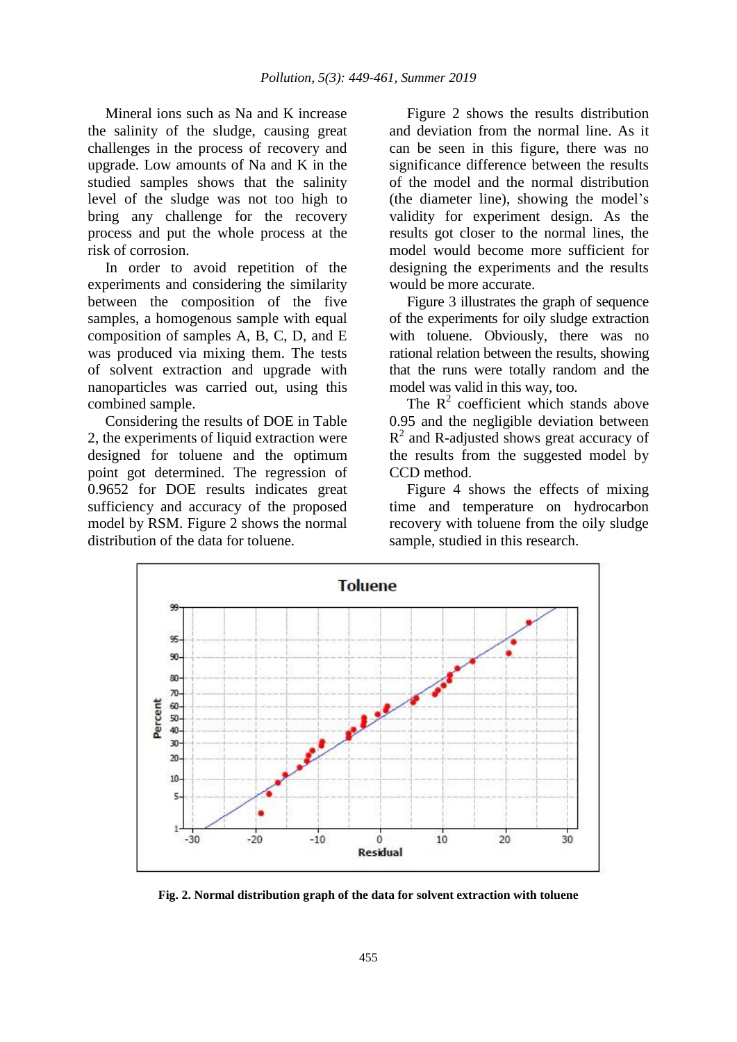Mineral ions such as Na and K increase the salinity of the sludge, causing great challenges in the process of recovery and upgrade. Low amounts of Na and K in the studied samples shows that the salinity level of the sludge was not too high to bring any challenge for the recovery process and put the whole process at the risk of corrosion.

In order to avoid repetition of the experiments and considering the similarity between the composition of the five samples, a homogenous sample with equal composition of samples A, B, C, D, and E was produced via mixing them. The tests of solvent extraction and upgrade with nanoparticles was carried out, using this combined sample.

Considering the results of DOE in Table 2, the experiments of liquid extraction were designed for toluene and the optimum point got determined. The regression of 0.9652 for DOE results indicates great sufficiency and accuracy of the proposed model by RSM. Figure 2 shows the normal distribution of the data for toluene.

Figure 2 shows the results distribution and deviation from the normal line. As it can be seen in this figure, there was no significance difference between the results of the model and the normal distribution (the diameter line), showing the model's validity for experiment design. As the results got closer to the normal lines, the model would become more sufficient for designing the experiments and the results would be more accurate.

Figure 3 illustrates the graph of sequence of the experiments for oily sludge extraction with toluene. Obviously, there was no rational relation between the results, showing that the runs were totally random and the model was valid in this way, too.

The  $R^2$  coefficient which stands above 0.95 and the negligible deviation between  $R<sup>2</sup>$  and R-adjusted shows great accuracy of the results from the suggested model by CCD method.

Figure 4 shows the effects of mixing time and temperature on hydrocarbon recovery with toluene from the oily sludge sample, studied in this research.



**Fig. 2. Normal distribution graph of the data for solvent extraction with toluene**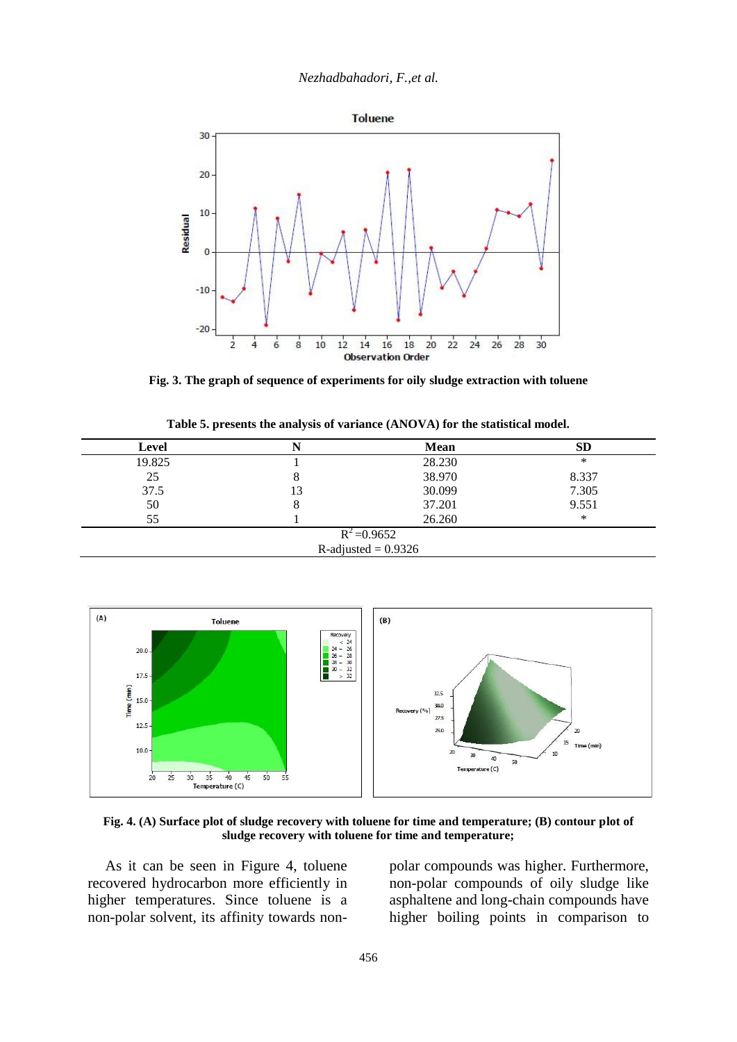*Nezhadbahadori, F.,et al.*



**Fig. 3. The graph of sequence of experiments for oily sludge extraction with toluene**

|  |  |  | Table 5. presents the analysis of variance (ANOVA) for the statistical model. |
|--|--|--|-------------------------------------------------------------------------------|
|--|--|--|-------------------------------------------------------------------------------|

| Level  |         | Mean                  | SD    |
|--------|---------|-----------------------|-------|
| 19.825 |         | 28.230                | ∗     |
| 25     | $\circ$ | 38.970                | 8.337 |
| 37.5   | 13      | 30.099                | 7.305 |
| 50     | O       | 37.201                | 9.551 |
| 55     |         | 26.260                | ∗     |
|        |         | $R^2 = 0.9652$        |       |
|        |         | R-adjusted = $0.9326$ |       |



**Fig. 4. (A) Surface plot of sludge recovery with toluene for time and temperature; (B) contour plot of sludge recovery with toluene for time and temperature;**

As it can be seen in Figure 4, toluene recovered hydrocarbon more efficiently in higher temperatures. Since toluene is a non-polar solvent, its affinity towards nonpolar compounds was higher. Furthermore, non-polar compounds of oily sludge like asphaltene and long-chain compounds have higher boiling points in comparison to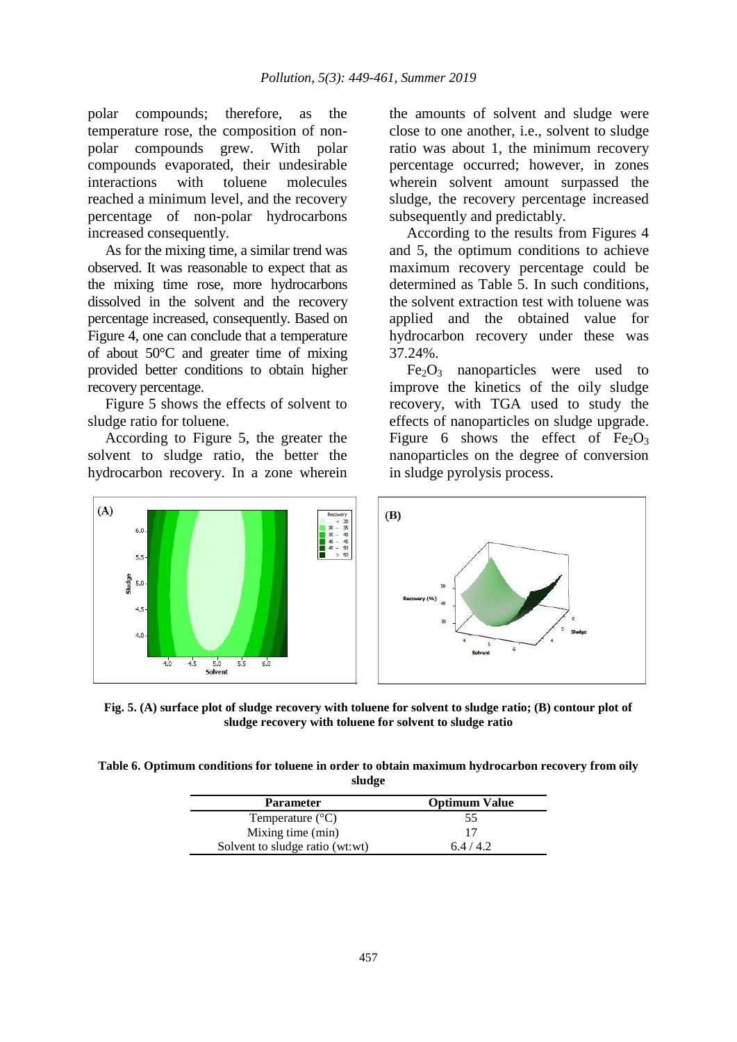polar compounds; therefore, as the temperature rose, the composition of nonpolar compounds grew. With polar compounds evaporated, their undesirable interactions with toluene molecules reached a minimum level, and the recovery percentage of non-polar hydrocarbons increased consequently.

As for the mixing time, a similar trend was observed. It was reasonable to expect that as the mixing time rose, more hydrocarbons dissolved in the solvent and the recovery percentage increased, consequently. Based on Figure 4, one can conclude that a temperature of about 50°C and greater time of mixing provided better conditions to obtain higher recovery percentage.

Figure 5 shows the effects of solvent to sludge ratio for toluene.

According to Figure 5, the greater the solvent to sludge ratio, the better the hydrocarbon recovery. In a zone wherein

the amounts of solvent and sludge were close to one another, i.e., solvent to sludge ratio was about 1, the minimum recovery percentage occurred; however, in zones wherein solvent amount surpassed the sludge, the recovery percentage increased subsequently and predictably.

According to the results from Figures 4 and 5, the optimum conditions to achieve maximum recovery percentage could be determined as Table 5. In such conditions, the solvent extraction test with toluene was applied and the obtained value for hydrocarbon recovery under these was 37.24%.

 $Fe<sub>2</sub>O<sub>3</sub>$  nanoparticles were used to improve the kinetics of the oily sludge recovery, with TGA used to study the effects of nanoparticles on sludge upgrade. Figure 6 shows the effect of  $Fe<sub>2</sub>O<sub>3</sub>$ nanoparticles on the degree of conversion in sludge pyrolysis process.



**Fig. 5. (A) surface plot of sludge recovery with toluene for solvent to sludge ratio; (B) contour plot of sludge recovery with toluene for solvent to sludge ratio**

**Table 6. Optimum conditions for toluene in order to obtain maximum hydrocarbon recovery from oily sludge**

| <b>Parameter</b>                | <b>Optimum Value</b> |  |
|---------------------------------|----------------------|--|
| Temperature $(^{\circ}C)$       | 55                   |  |
| Mixing time (min)               |                      |  |
| Solvent to sludge ratio (wt:wt) | 6.4/4.2              |  |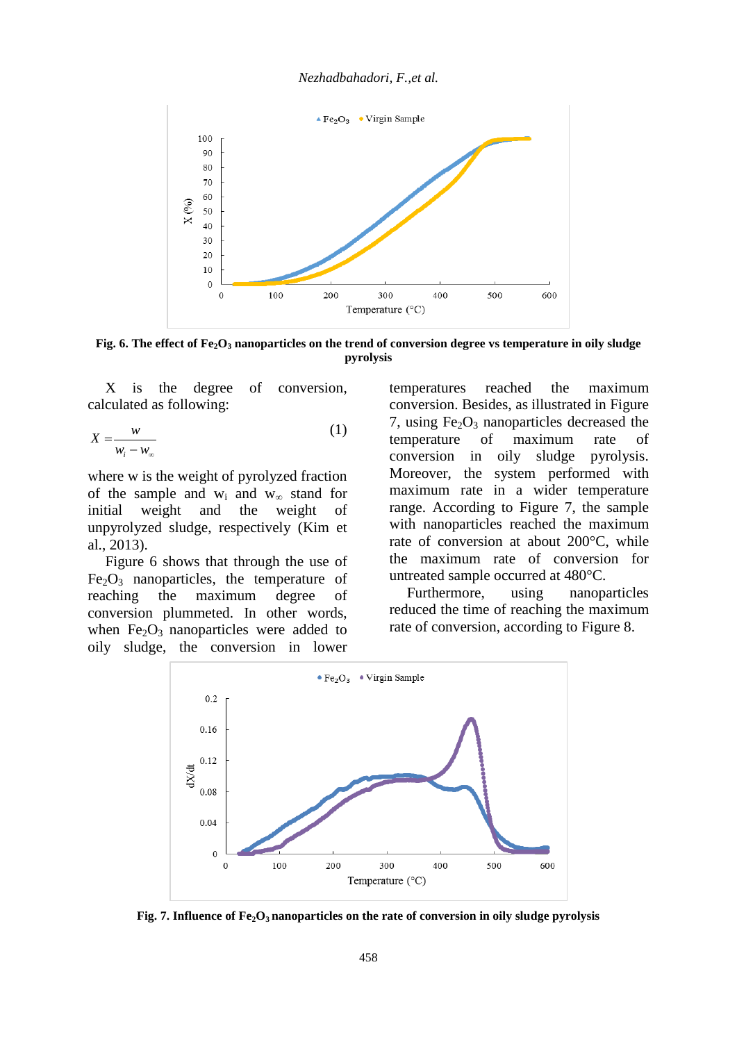

**Fig. 6. The effect of Fe2O<sup>3</sup> nanoparticles on the trend of conversion degree vs temperature in oily sludge pyrolysis**

X is the degree of conversion, calculated as following:

$$
X = \frac{w}{w_i - w_\infty} \tag{1}
$$

where w is the weight of pyrolyzed fraction of the sample and  $w_i$  and  $w_\infty$  stand for initial weight and the weight of unpyrolyzed sludge, respectively (Kim et al., 2013).

Figure 6 shows that through the use of  $Fe<sub>2</sub>O<sub>3</sub>$  nanoparticles, the temperature of reaching the maximum degree of conversion plummeted. In other words, when  $Fe<sub>2</sub>O<sub>3</sub>$  nanoparticles were added to oily sludge, the conversion in lower temperatures reached the maximum conversion. Besides, as illustrated in Figure 7, using  $Fe<sub>2</sub>O<sub>3</sub>$  nanoparticles decreased the temperature of maximum rate of conversion in oily sludge pyrolysis. Moreover, the system performed with maximum rate in a wider temperature range. According to Figure 7, the sample with nanoparticles reached the maximum rate of conversion at about 200°C, while the maximum rate of conversion for untreated sample occurred at 480°C.

Furthermore, using nanoparticles reduced the time of reaching the maximum rate of conversion, according to Figure 8.



**Fig. 7. Influence of Fe2O3 nanoparticles on the rate of conversion in oily sludge pyrolysis**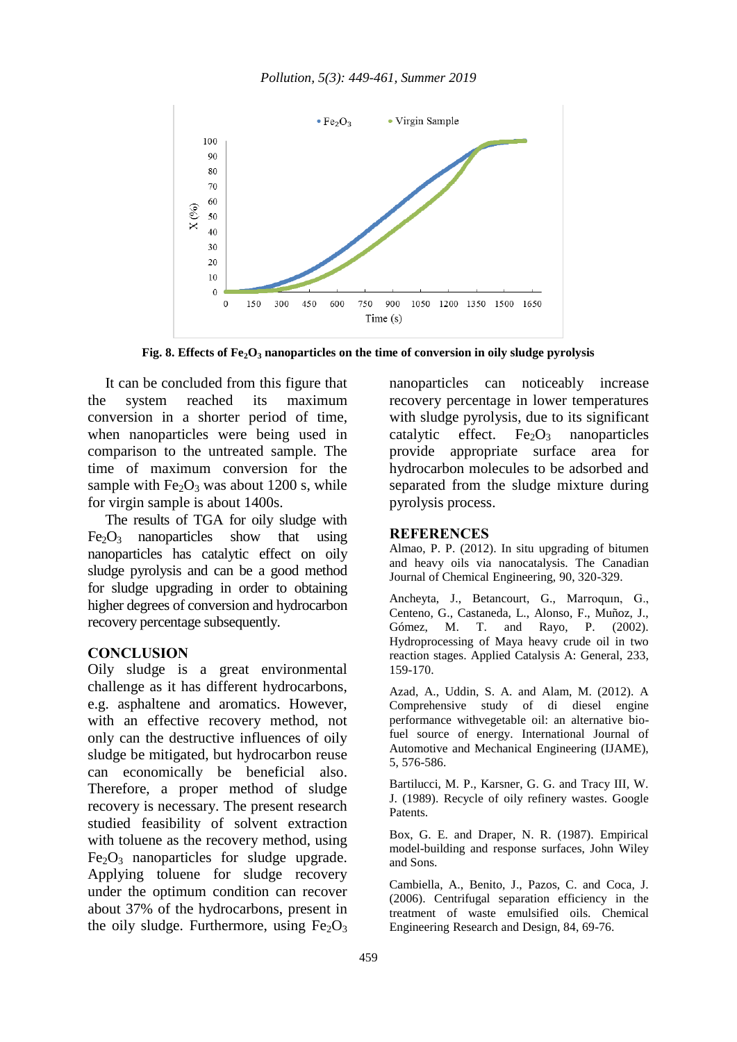

**Fig. 8. Effects of Fe2O<sup>3</sup> nanoparticles on the time of conversion in oily sludge pyrolysis**

It can be concluded from this figure that the system reached its maximum conversion in a shorter period of time, when nanoparticles were being used in comparison to the untreated sample. The time of maximum conversion for the sample with  $Fe<sub>2</sub>O<sub>3</sub>$  was about 1200 s, while for virgin sample is about 1400s.

The results of TGA for oily sludge with  $Fe<sub>2</sub>O<sub>3</sub>$  nanoparticles show that using nanoparticles has catalytic effect on oily sludge pyrolysis and can be a good method for sludge upgrading in order to obtaining higher degrees of conversion and hydrocarbon recovery percentage subsequently.

#### **CONCLUSION**

Oily sludge is a great environmental challenge as it has different hydrocarbons, e.g. asphaltene and aromatics. However, with an effective recovery method, not only can the destructive influences of oily sludge be mitigated, but hydrocarbon reuse can economically be beneficial also. Therefore, a proper method of sludge recovery is necessary. The present research studied feasibility of solvent extraction with toluene as the recovery method, using  $Fe<sub>2</sub>O<sub>3</sub>$  nanoparticles for sludge upgrade. Applying toluene for sludge recovery under the optimum condition can recover about 37% of the hydrocarbons, present in the oily sludge. Furthermore, using  $Fe<sub>2</sub>O<sub>3</sub>$ 

nanoparticles can noticeably increase recovery percentage in lower temperatures with sludge pyrolysis, due to its significant catalytic effect. Fe $2O_3$  nanoparticles provide appropriate surface area for hydrocarbon molecules to be adsorbed and separated from the sludge mixture during pyrolysis process.

#### **REFERENCES**

Almao, P. P. (2012). In situ upgrading of bitumen and heavy oils via nanocatalysis. The Canadian Journal of Chemical Engineering, 90, 320-329.

Ancheyta, J., Betancourt, G., Marroquın, G., Centeno, G., Castaneda, L., Alonso, F., Muñoz, J., Gómez, M. T. and Rayo, P. (2002). Hydroprocessing of Maya heavy crude oil in two reaction stages. Applied Catalysis A: General, 233, 159-170.

Azad, A., Uddin, S. A. and Alam, M. (2012). A Comprehensive study of di diesel engine performance withvegetable oil: an alternative biofuel source of energy. International Journal of Automotive and Mechanical Engineering (IJAME), 5, 576-586.

Bartilucci, M. P., Karsner, G. G. and Tracy III, W. J. (1989). Recycle of oily refinery wastes. Google Patents.

Box, G. E. and Draper, N. R. (1987). Empirical model-building and response surfaces, John Wiley and Sons.

Cambiella, A., Benito, J., Pazos, C. and Coca, J. (2006). Centrifugal separation efficiency in the treatment of waste emulsified oils. Chemical Engineering Research and Design, 84, 69-76.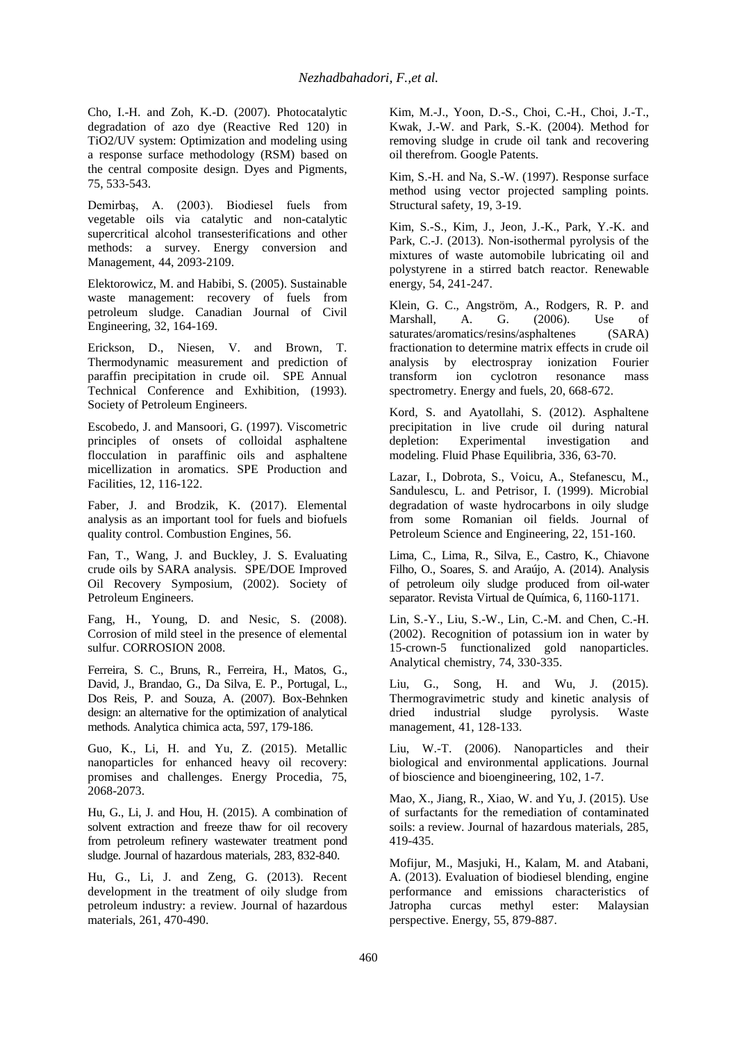Cho, I.-H. and Zoh, K.-D. (2007). Photocatalytic degradation of azo dye (Reactive Red 120) in TiO2/UV system: Optimization and modeling using a response surface methodology (RSM) based on the central composite design. Dyes and Pigments, 75, 533-543.

Demirbaş, A. (2003). Biodiesel fuels from vegetable oils via catalytic and non-catalytic supercritical alcohol transesterifications and other methods: a survey. Energy conversion and Management, 44, 2093-2109.

Elektorowicz, M. and Habibi, S. (2005). Sustainable waste management: recovery of fuels from petroleum sludge. Canadian Journal of Civil Engineering, 32, 164-169.

Erickson, D., Niesen, V. and Brown, T. Thermodynamic measurement and prediction of paraffin precipitation in crude oil. SPE Annual Technical Conference and Exhibition, (1993). Society of Petroleum Engineers.

Escobedo, J. and Mansoori, G. (1997). Viscometric principles of onsets of colloidal asphaltene flocculation in paraffinic oils and asphaltene micellization in aromatics. SPE Production and Facilities, 12, 116-122.

Faber, J. and Brodzik, K. (2017). Elemental analysis as an important tool for fuels and biofuels quality control. Combustion Engines, 56.

Fan, T., Wang, J. and Buckley, J. S. Evaluating crude oils by SARA analysis. SPE/DOE Improved Oil Recovery Symposium, (2002). Society of Petroleum Engineers.

Fang, H., Young, D. and Nesic, S. (2008). Corrosion of mild steel in the presence of elemental sulfur. CORROSION 2008.

Ferreira, S. C., Bruns, R., Ferreira, H., Matos, G., David, J., Brandao, G., Da Silva, E. P., Portugal, L., Dos Reis, P. and Souza, A. (2007). Box-Behnken design: an alternative for the optimization of analytical methods. Analytica chimica acta, 597, 179-186.

Guo, K., Li, H. and Yu, Z. (2015). Metallic nanoparticles for enhanced heavy oil recovery: promises and challenges. Energy Procedia, 75, 2068-2073.

Hu, G., Li, J. and Hou, H. (2015). A combination of solvent extraction and freeze thaw for oil recovery from petroleum refinery wastewater treatment pond sludge. Journal of hazardous materials, 283, 832-840.

Hu, G., Li, J. and Zeng, G. (2013). Recent development in the treatment of oily sludge from petroleum industry: a review. Journal of hazardous materials, 261, 470-490.

Kim, M.-J., Yoon, D.-S., Choi, C.-H., Choi, J.-T., Kwak, J.-W. and Park, S.-K. (2004). Method for removing sludge in crude oil tank and recovering oil therefrom. Google Patents.

Kim, S.-H. and Na, S.-W. (1997). Response surface method using vector projected sampling points. Structural safety, 19, 3-19.

Kim, S.-S., Kim, J., Jeon, J.-K., Park, Y.-K. and Park, C.-J. (2013). Non-isothermal pyrolysis of the mixtures of waste automobile lubricating oil and polystyrene in a stirred batch reactor. Renewable energy, 54, 241-247.

Klein, G. C., Angström, A., Rodgers, R. P. and Marshall, A. G. (2006). Use of saturates/aromatics/resins/asphaltenes (SARA) fractionation to determine matrix effects in crude oil analysis by electrospray ionization Fourier<br>transform ion cyclotron resonance mass transform ion cyclotron resonance mass spectrometry. Energy and fuels, 20, 668-672.

Kord, S. and Ayatollahi, S. (2012). Asphaltene precipitation in live crude oil during natural depletion: Experimental investigation and modeling. Fluid Phase Equilibria, 336, 63-70.

Lazar, I., Dobrota, S., Voicu, A., Stefanescu, M., Sandulescu, L. and Petrisor, I. (1999). Microbial degradation of waste hydrocarbons in oily sludge from some Romanian oil fields. Journal of Petroleum Science and Engineering, 22, 151-160.

Lima, C., Lima, R., Silva, E., Castro, K., Chiavone Filho, O., Soares, S. and Araújo, A. (2014). Analysis of petroleum oily sludge produced from oil-water separator. Revista Virtual de Química, 6, 1160-1171.

Lin, S.-Y., Liu, S.-W., Lin, C.-M. and Chen, C.-H. (2002). Recognition of potassium ion in water by 15-crown-5 functionalized gold nanoparticles. Analytical chemistry, 74, 330-335.

Liu, G., Song, H. and Wu, J. (2015). Thermogravimetric study and kinetic analysis of dried industrial sludge pyrolysis. Waste management, 41, 128-133.

Liu, W.-T. (2006). Nanoparticles and their biological and environmental applications. Journal of bioscience and bioengineering, 102, 1-7.

Mao, X., Jiang, R., Xiao, W. and Yu, J. (2015). Use of surfactants for the remediation of contaminated soils: a review. Journal of hazardous materials, 285, 419-435.

Mofijur, M., Masjuki, H., Kalam, M. and Atabani, A. (2013). Evaluation of biodiesel blending, engine performance and emissions characteristics of Jatropha curcas methyl ester: Malaysian perspective. Energy, 55, 879-887.